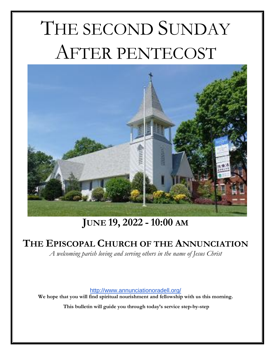# THE SECOND SUNDAY AFTER PENTECOST



# **JUNE 19, 2022 -10:00 AM**

# **THE EPISCOPAL CHURCH OF THE ANNUNCIATION**

*A welcoming parish loving and serving others in the name of Jesus Christ*

[http://www.annunciationoradell.org/](about:blank)

We hope that you will find spiritual nourishment and fellowship with us this morning.

**This bulletin will guide you through today's service step-by-step**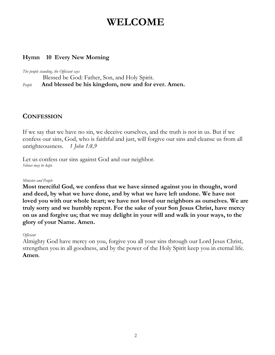# **WELCOME**

#### **Hymn 10 Every New Morning**

*The people standing, the Officiant says*

Blessed be God: Father, Son, and Holy Spirit.

*People* **And blessed be his kingdom, now and for ever. Amen.**

## **CONFESSION**

If we say that we have no sin, we deceive ourselves, and the truth is not in us. But if we confess our sins, God, who is faithful and just, will forgive our sins and cleanse us from all unrighteousness. *1 John 1:8,9*

Let us confess our sins against God and our neighbor. *Silence may be kept.*

#### *Minister and People*

**Most merciful God, we confess that we have sinned against you in thought, word and deed, by what we have done, and by what we have left undone. We have not loved you with our whole heart; we have not loved our neighbors as ourselves. We are truly sorry and we humbly repent. For the sake of your Son Jesus Christ, have mercy on us and forgive us; that we may delight in your will and walk in your ways, to the glory of your Name. Amen.**

#### *Officiant*

Almighty God have mercy on you, forgive you all your sins through our Lord Jesus Christ, strengthen you in all goodness, and by the power of the Holy Spirit keep you in eternal life. **Amen***.*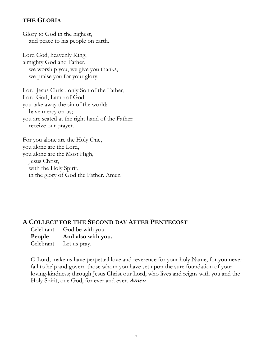#### **THE GLORIA**

Glory to God in the highest, and peace to his people on earth.

Lord God, heavenly King, almighty God and Father, we worship you, we give you thanks, we praise you for your glory.

Lord Jesus Christ, only Son of the Father, Lord God, Lamb of God, you take away the sin of the world: have mercy on us; you are seated at the right hand of the Father: receive our prayer.

For you alone are the Holy One, you alone are the Lord, you alone are the Most High, Jesus Christ, with the Holy Spirit, in the glory of God the Father. Amen

#### **A COLLECT FOR THE SECOND DAY AFTER PENTECOST**

Celebrant God be with you. **People And also with you.** Celebrant Let us pray.

O Lord, make us have perpetual love and reverence for your holy Name, for you never fail to help and govern those whom you have set upon the sure foundation of your loving-kindness; through Jesus Christ our Lord, who lives and reigns with you and the Holy Spirit, one God, for ever and ever. **Amen***.*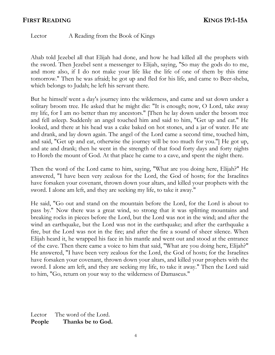#### **FIRST READING KINGS 19:1-15A**

Lector A Reading from the Book of Kings

Ahab told Jezebel all that Elijah had done, and how he had killed all the prophets with the sword. Then Jezebel sent a messenger to Elijah, saying, "So may the gods do to me, and more also, if I do not make your life like the life of one of them by this time tomorrow." Then he was afraid; he got up and fled for his life, and came to Beer-sheba, which belongs to Judah; he left his servant there.

But he himself went a day's journey into the wilderness, and came and sat down under a solitary broom tree. He asked that he might die: "It is enough; now, O Lord, take away my life, for I am no better than my ancestors." [Then he lay down under the broom tree and fell asleep. Suddenly an angel touched him and said to him, "Get up and eat." He looked, and there at his head was a cake baked on hot stones, and a jar of water. He ate and drank, and lay down again. The angel of the Lord came a second time, touched him, and said, "Get up and eat, otherwise the journey will be too much for you."] He got up, and ate and drank; then he went in the strength of that food forty days and forty nights to Horeb the mount of God. At that place he came to a cave, and spent the night there.

Then the word of the Lord came to him, saying, "What are you doing here, Elijah?" He answered, "I have been very zealous for the Lord, the God of hosts; for the Israelites have forsaken your covenant, thrown down your altars, and killed your prophets with the sword. I alone am left, and they are seeking my life, to take it away."

He said, "Go out and stand on the mountain before the Lord, for the Lord is about to pass by." Now there was a great wind, so strong that it was splitting mountains and breaking rocks in pieces before the Lord, but the Lord was not in the wind; and after the wind an earthquake, but the Lord was not in the earthquake; and after the earthquake a fire, but the Lord was not in the fire; and after the fire a sound of sheer silence. When Elijah heard it, he wrapped his face in his mantle and went out and stood at the entrance of the cave. Then there came a voice to him that said, "What are you doing here, Elijah?" He answered, "I have been very zealous for the Lord, the God of hosts; for the Israelites have forsaken your covenant, thrown down your altars, and killed your prophets with the sword. I alone am left, and they are seeking my life, to take it away." Then the Lord said to him, "Go, return on your way to the wilderness of Damascus."

Lector The word of the Lord. **People Thanks be to God.**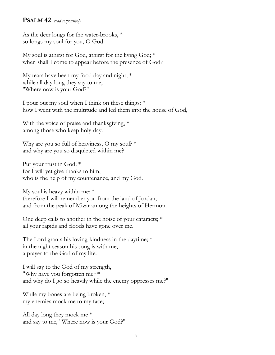#### **PSALM 42** *read responsively*

As the deer longs for the water-brooks, \* so longs my soul for you, O God.

My soul is athirst for God, athirst for the living God; \* when shall I come to appear before the presence of God?

My tears have been my food day and night, \* while all day long they say to me, "Where now is your God?"

I pour out my soul when I think on these things: \* how I went with the multitude and led them into the house of God,

With the voice of praise and thanksgiving, \* among those who keep holy-day.

Why are you so full of heaviness, O my soul? \* and why are you so disquieted within me?

Put your trust in God; \* for I will yet give thanks to him, who is the help of my countenance, and my God.

My soul is heavy within me; \* therefore I will remember you from the land of Jordan, and from the peak of Mizar among the heights of Hermon.

One deep calls to another in the noise of your cataracts; \* all your rapids and floods have gone over me.

The Lord grants his loving-kindness in the daytime; \* in the night season his song is with me, a prayer to the God of my life.

I will say to the God of my strength, "Why have you forgotten me? \* and why do I go so heavily while the enemy oppresses me?"

While my bones are being broken, \* my enemies mock me to my face;

All day long they mock me \* and say to me, "Where now is your God?"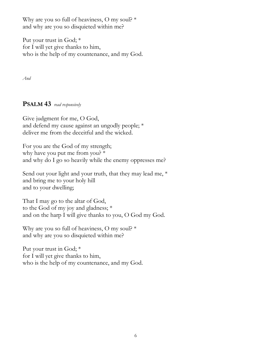Why are you so full of heaviness, O my soul?  $*$ and why are you so disquieted within me?

Put your trust in God; \* for I will yet give thanks to him, who is the help of my countenance, and my God.

*And*

#### **PSALM 43** *read responsively*

Give judgment for me, O God, and defend my cause against an ungodly people; \* deliver me from the deceitful and the wicked.

For you are the God of my strength; why have you put me from you? \* and why do I go so heavily while the enemy oppresses me?

Send out your light and your truth, that they may lead me, \* and bring me to your holy hill and to your dwelling;

That I may go to the altar of God, to the God of my joy and gladness; \* and on the harp I will give thanks to you, O God my God.

Why are you so full of heaviness, O my soul? \* and why are you so disquieted within me?

Put your trust in God; \* for I will yet give thanks to him, who is the help of my countenance, and my God.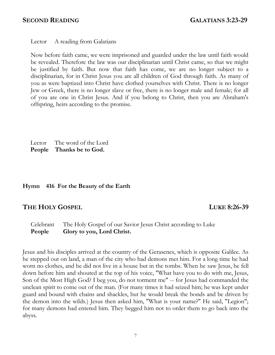Lector A reading from Galatians

Now before faith came, we were imprisoned and guarded under the law until faith would be revealed. Therefore the law was our disciplinarian until Christ came, so that we might be justified by faith. But now that faith has come, we are no longer subject to a disciplinarian, for in Christ Jesus you are all children of God through faith. As many of you as were baptized into Christ have clothed yourselves with Christ. There is no longer Jew or Greek, there is no longer slave or free, there is no longer male and female; for all of you are one in Christ Jesus. And if you belong to Christ, then you are Abraham's offspring, heirs according to the promise.

 Lector The word of the Lord  **People Thanks be to God.**

#### **Hymn 416 For the Beauty of the Earth**

#### **THE HOLY GOSPEL LUKE 8:26-39**

Celebrant The Holy Gospel of our Savior Jesus Christ according to Luke **People Glory to you, Lord Christ.**

Jesus and his disciples arrived at the country of the Gerasenes, which is opposite Galilee. As he stepped out on land, a man of the city who had demons met him. For a long time he had worn no clothes, and he did not live in a house but in the tombs. When he saw Jesus, he fell down before him and shouted at the top of his voice, "What have you to do with me, Jesus, Son of the Most High God? I beg you, do not torment me" -- for Jesus had commanded the unclean spirit to come out of the man. (For many times it had seized him; he was kept under guard and bound with chains and shackles, but he would break the bonds and be driven by the demon into the wilds.) Jesus then asked him, "What is your name?" He said, "Legion"; for many demons had entered him. They begged him not to order them to go back into the abyss.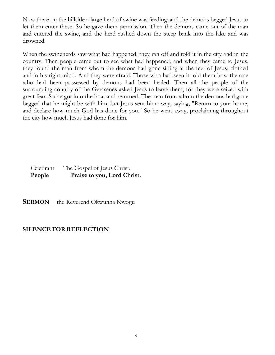Now there on the hillside a large herd of swine was feeding; and the demons begged Jesus to let them enter these. So he gave them permission. Then the demons came out of the man and entered the swine, and the herd rushed down the steep bank into the lake and was drowned.

When the swineherds saw what had happened, they ran off and told it in the city and in the country. Then people came out to see what had happened, and when they came to Jesus, they found the man from whom the demons had gone sitting at the feet of Jesus, clothed and in his right mind. And they were afraid. Those who had seen it told them how the one who had been possessed by demons had been healed. Then all the people of the surrounding country of the Gerasenes asked Jesus to leave them; for they were seized with great fear. So he got into the boat and returned. The man from whom the demons had gone begged that he might be with him; but Jesus sent him away, saying, "Return to your home, and declare how much God has done for you." So he went away, proclaiming throughout the city how much Jesus had done for him.

#### Celebrant The Gospel of Jesus Christ. People Praise to you, Lord Christ.

**SERMON** the Reverend Okwunna Nwogu

#### **SILENCE FOR REFLECTION**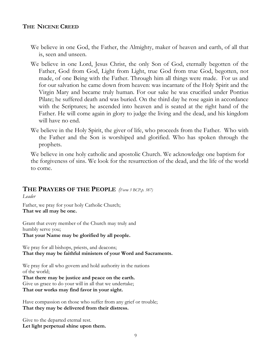#### **THE NICENE CREED**

- We believe in one God, the Father, the Almighty, maker of heaven and earth, of all that is, seen and unseen.
- We believe in one Lord, Jesus Christ, the only Son of God, eternally begotten of the Father, God from God, Light from Light, true God from true God, begotten, not made, of one Being with the Father. Through him all things were made. For us and for our salvation he came down from heaven: was incarnate of the Holy Spirit and the Virgin Mary and became truly human. For our sake he was crucified under Pontius Pilate; he suffered death and was buried. On the third day he rose again in accordance with the Scriptures; he ascended into heaven and is seated at the right hand of the Father. He will come again in glory to judge the living and the dead, and his kingdom will have no end.
- We believe in the Holy Spirit, the giver of life, who proceeds from the Father. Who with the Father and the Son is worshiped and glorified. Who has spoken through the prophets.

We believe in one holy catholic and apostolic Church. We acknowledge one baptism for the forgiveness of sins. We look for the resurrection of the dead, and the life of the world to come.

#### **THE PRAYERS OF THE PEOPLE** *(Form 3 BCP,p. 387)*

*Leader*

Father, we pray for your holy Catholic Church; **That we all may be one.**

Grant that every member of the Church may truly and humbly serve you; **That your Name may be glorified by all people.**

We pray for all bishops, priests, and deacons; **That they may be faithful ministers of your Word and Sacraments.**

We pray for all who govern and hold authority in the nations of the world; **That there may be justice and peace on the earth.** Give us grace to do your will in all that we undertake; **That our works may find favor in your sight.**

Have compassion on those who suffer from any grief or trouble; **That they may be delivered from their distress.**

Give to the departed eternal rest. **Let light perpetual shine upon them.**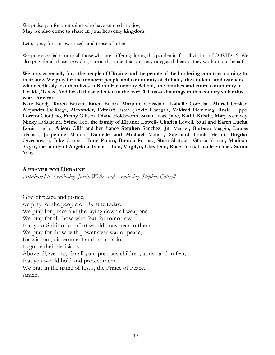#### We praise you for your saints who have entered into joy; **May we also come to share in your heavenly kingdom.**

Let us pray for our own needs and those of others.

We pray especially for or all those who are suffering during this pandemic, for all victims of COVID-19. We also pray for all those providing care at this time, that you may safeguard them as they work on our behalf.

**We pray especially for…the people of Ukraine and the people of the bordering countries coming to their aide. We pray for the innocent people and community of Buffalo, the students and teachers who needlessly lost their lives at Robb Elementary School, the families and entire community of Uvalde, Texas. And for all those effected in the over 200 mass shootings in this country so far this year. And for:**

**Kate** Bondy, **Karen** Brusati**, Karen** Bullen**, Marjorie** Considine**, Isabelle** Corbelan**, Muriel** Depken, **Alejandra** DelRiego**, Alexander, Edward** Ester**, Jackie** Flanagan**, Mildred** Flemming**, Rosie** Flippo**, Loretta** Giordano, **Penny** Gibson**, Diane** Holdsworth**, Susan** Itaas**, Jake, Kathi, Kristie, Mary** Kennedy**, Nicky** LaSaracina**, Svime** Leo**, the family of Eleanor Lowell- Charles** Lowell**, Saul and Karen Luchs, Louis** Luglio, **Alison** Oliff and her fiance **Stephen** Sanchez, **Jill** Macker**, Barbara** Maggio**, Louise**  Malusis**, Jospehine** Marino**, Danielle and Michael** Marino**, Sue and Frank** Merritt**, Bogdan**  Orzechowski**, Jake** Oshires**, Tony** Panico**, Brenda** Rooney, **Shira** Shatzkes**, Gloria** Slaman**, Madison**  Stager**, the family of Angelina** Tanion- **Dion, Virgilyn, Che, Dan, Rose** Turso**, Lucille** Volmer**, Sorina**  Yang.

#### **A PRAYER FOR UKRAINE**

*Attributed to Archbishop Justin Welby and Archbishop Stephen Cottrell*

God of peace and justice, we pray for the people of Ukraine today. We pray for peace and the laying down of weapons. We pray for all those who fear for tomorrow, that your Spirit of comfort would draw near to them. We pray for those with power over war or peace, for wisdom, discernment and compassion to guide their decisions. Above all, we pray for all your precious children, at risk and in fear, that you would hold and protect them. We pray in the name of Jesus, the Prince of Peace. Amen.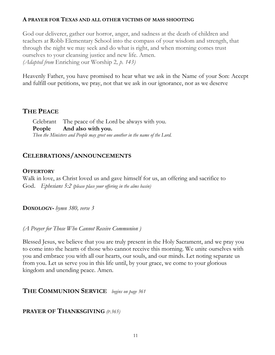#### **A PRAYER FOR TEXAS AND ALL OTHER VICTIMS OF MASS SHOOTING**

God our deliverer, gather our horror, anger, and sadness at the death of children and teachers at Robb Elementary School into the compass of your wisdom and strength, that through the night we may seek and do what is right, and when morning comes trust ourselves to your cleansing justice and new life. Amen. *(Adapted from* Enriching our Worship 2*, p. 143)*

Heavenly Father, you have promised to hear what we ask in the Name of your Son: Accept and fulfill our petitions, we pray, not that we ask in our ignorance, nor as we deserve

### **THE PEACE**

Celebrant The peace of the Lord be always with you. **People And also with you.**  *Then the Ministers and People may greet one another in the name of the Lord.*

#### **CELEBRATIONS/ANNOUNCEMENTS**

#### **OFFERTORY**

Walk in love, as Christ loved us and gave himself for us, an offering and sacrifice to God. *Ephesians 5:2 (please place your offering in the alms basin)*

**DOXOLOGY-** *hymn 380, verse 3*

*(A Prayer for Those Who Cannot Receive Communion )*

Blessed Jesus, we believe that you are truly present in the Holy Sacrament, and we pray you to come into the hearts of those who cannot receive this morning. We unite ourselves with you and embrace you with all our hearts, our souls, and our minds. Let noting separate us from you. Let us serve you in this life until, by your grace, we come to your glorious kingdom and unending peace. Amen.

#### **<sup>T</sup>HE COMMUNION SERVICE** *begins on page 361*

#### **PRAYER OF THANKSGIVING** *(P.365)*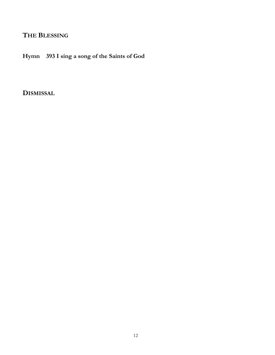## **THE BLESSING**

**Hymn 393 I sing a song of the Saints of God**

**DISMISSAL**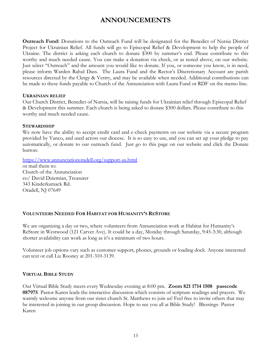### **ANNOUNCEMENTS**

**Outreach Fund:** Donations to the Outreach Fund will be designated for the Benedict of Nursia District Project for Ukrainian Relief. All funds will go to Episcopal Relief & Development to help the people of Ukraine. The district is asking each church to donate \$300 by summer's end. Please contribute to this worthy and much needed cause. You can make a donation via check, or as noted above, on our website. Just select "Outreach" and the amount you would like to donate. If you, or someone you know, is in need, please inform Warden Rahul Dass. The Laura Fund and the Rector's Discretionary Account are parish resources directed by the Clergy & Vestry, and may be available when needed. Additional contributions can be made to these funds payable to Church of the Annunciation with Laura Fund or RDF on the memo line.

#### **UKRAINIAN RELIEF**

Our Church District, Benedict of Nursia, will be raising funds for Ukrainian relief through Episcopal Relief & Development this summer. Each church is being asked to donate \$300 dollars. Please contribute to this worthy and much needed cause.

#### **STEWARDSHIP**

We now have the ability to accept credit card and e-check payments on our website via a secure program provided by Vanco, and used across our diocese. It is so easy to use, and you can set up your pledge to pay automatically, or donate to our outreach fund. Just go to this page on our website and click the Donate button:

[https://www.annunciationoradell.org/support-us.html](about:blank)

or mail them to: Church of the Annunciation co/ David Dziemian, Treasurer 343 Kinderkamack Rd. Oradell, NJ 07649

#### **VOLUNTEERS NEEDED FOR HABITAT FOR HUMANITY'S RESTORE**

We are organizing a day or two, where volunteers from Annunciation work at Habitat for Humanity's ReStore in Westwood (121 Carver Ave). It could be a day, Monday through Saturday, 9:45-3:30, although shorter availability can work as long as it's a minimum of two hours.

Volunteer job options vary such as customer support, phones, grounds or loading dock. Anyone interested can text or call Liz Rooney at 201-310-3139.

#### **VIRTUAL BIBLE STUDY**

Our Virtual Bible Study meets every Wednesday evening at 8:00 pm. **Zoom 821 1714 1508 passcode 087975** Pastor Karen leads the interactive discussion which consists of scripture readings and prayers. We warmly welcome anyone from our sister church St. Matthews to join us! Feel free to invite others that may be interested in joining in our group discussion. Hope to see you all at Bible Study! Blessings- Pastor Karen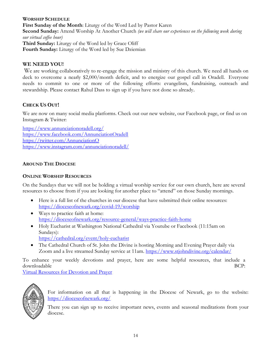#### **WORSHIP SCHEDULE First Sunday of the Month**: Liturgy of the Word Led by Pastor Karen **Second Sunday:** Attend Worship At Another Church *(we will share our experiences on the following week during our virtual coffee hour)* **Third Sunday:** Liturgy of the Word led by Grace Oliff **Fourth Sunday:** Liturgy of the Word led by Sue Dziemian

#### **WE NEED YOU!**

We are working collaboratively to re-engage the mission and ministry of this church. We need all hands on deck to overcome a nearly \$2,000/month deficit, and to energize our gospel call in Oradell. Everyone needs to commit to one or more of the following efforts: evangelism, fundraising, outreach and stewardship. Please contact Rahul Dass to sign up if you have not done so already.

#### **CHECK US OUT!**

We are now on many social media platforms. Check out our new website, our Facebook page, or find us on Instagram & Twitter:

[https://www.annunciationoradell.org/](about:blank) [https://www.facebook.com/AnnunciationOradell](about:blank) [https://twitter.com/AnnunciationO](about:blank) [https://www.instagram.com/annunciationoradell/](about:blank)

#### **AROUND THE DIOCESE**

#### **ONLINE WORSHIP RESOURCES**

On the Sundays that we will not be holding a virtual worship service for our own church, here are several resources to choose from if you are looking for another place to "attend" on those Sunday mornings.

- Here is a full list of the churches in our diocese that have submitted their online resources: [https://dioceseofnewark.org/covid-19/worship](about:blank)
- Ways to practice faith at home: [https://dioceseofnewark.org/resource-general/ways-practice-faith-home](about:blank)
- Holy Eucharist at Washington National Cathedral via Youtube or Facebook (11:15am on Sundays):
	- [https://cathedral.org/event/holy-eucharist](about:blank)
- The Cathedral Church of St. John the Divine is hosting Morning and Evening Prayer daily via Zoom and a live streamed Sunday service at 11am. [https://www.stjohndivine.org/calendar/](about:blank)

To enhance your weekly devotions and prayer, here are some helpful resources, that include a downloadable BCP:

[Virtual Resources for Devotion and Prayer](about:blank)



For information on all that is happening in the Diocese of Newark, go to the website: [https://dioceseofnewark.org/](about:blank)

There you can sign up to receive important news, events and seasonal meditations from your diocese.